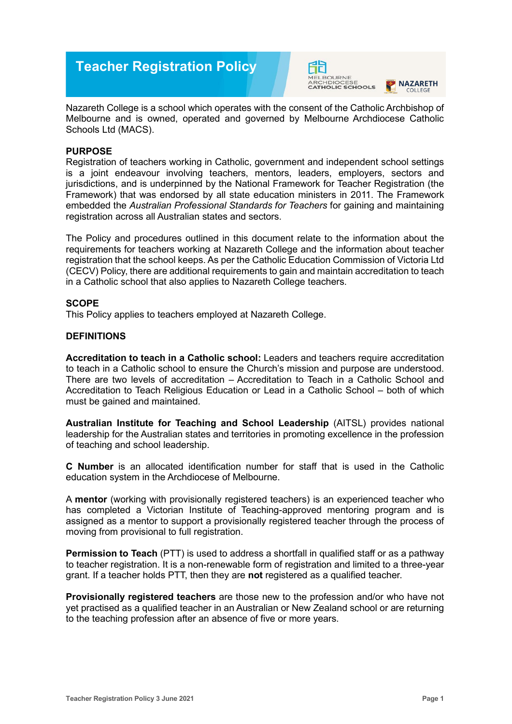





Nazareth College is a school which operates with the consent of the Catholic Archbishop of Melbourne and is owned, operated and governed by Melbourne Archdiocese Catholic Schools Ltd (MACS).

# **PURPOSE**

Registration of teachers working in Catholic, government and independent school settings is a joint endeavour involving teachers, mentors, leaders, employers, sectors and jurisdictions, and is underpinned by the National Framework for Teacher Registration (the Framework) that was endorsed by all state education ministers in 2011. The Framework embedded the *Australian Professional Standards for Teachers* for gaining and maintaining registration across all Australian states and sectors.

The Policy and procedures outlined in this document relate to the information about the requirements for teachers working at Nazareth College and the information about teacher registration that the school keeps. As per the Catholic Education Commission of Victoria Ltd (CECV) Policy, there are additional requirements to gain and maintain accreditation to teach in a Catholic school that also applies to Nazareth College teachers.

## **SCOPE**

This Policy applies to teachers employed at Nazareth College.

## **DEFINITIONS**

**Accreditation to teach in a Catholic school:** Leaders and teachers require accreditation to teach in a Catholic school to ensure the Church's mission and purpose are understood. There are two levels of accreditation – Accreditation to Teach in a Catholic School and Accreditation to Teach Religious Education or Lead in a Catholic School – both of which must be gained and maintained.

**Australian Institute for Teaching and School Leadership** (AITSL) provides national leadership for the Australian states and territories in promoting excellence in the profession of teaching and school leadership.

**C Number** is an allocated identification number for staff that is used in the Catholic education system in the Archdiocese of Melbourne.

A **mentor** (working with provisionally registered teachers) is an experienced teacher who has completed a Victorian Institute of Teaching-approved mentoring program and is assigned as a mentor to support a provisionally registered teacher through the process of moving from provisional to full registration.

**Permission to Teach** (PTT) is used to address a shortfall in qualified staff or as a pathway to teacher registration. It is a non-renewable form of registration and limited to a three-year grant. If a teacher holds PTT, then they are **not** registered as a qualified teacher.

**Provisionally registered teachers** are those new to the profession and/or who have not yet practised as a qualified teacher in an Australian or New Zealand school or are returning to the teaching profession after an absence of five or more years.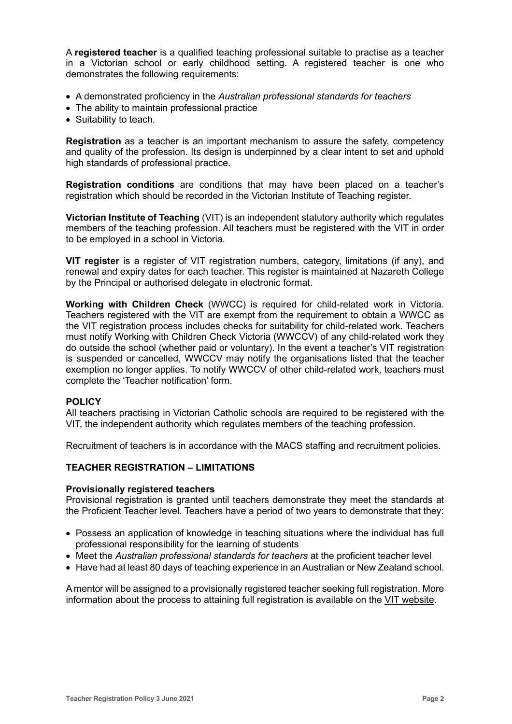A **registered teacher** is a qualified teaching professional suitable to practise as a teacher in a Victorian school or early childhood setting. A registered teacher is one who demonstrates the following requirements:

- A demonstrated proficiency in the *Australian professional standards for teachers*
- The ability to maintain professional practice
- Suitability to teach.

**Registration** as a teacher is an important mechanism to assure the safety, competency and quality of the profession. Its design is underpinned by a clear intent to set and uphold high standards of professional practice.

**Registration conditions** are conditions that may have been placed on a teacher's registration which should be recorded in the Victorian Institute of Teaching register.

**Victorian Institute of Teaching** (VIT) is an independent statutory authority which regulates members of the teaching profession. All teachers must be registered with the VIT in order to be employed in a school in Victoria.

**VIT register** is a register of VIT registration numbers, category, limitations (if any), and renewal and expiry dates for each teacher. This register is maintained at Nazareth College by the Principal or authorised delegate in electronic format.

**Working with Children Check** (WWCC) is required for child-related work in Victoria. Teachers registered with the VIT are exempt from the requirement to obtain a WWCC as the VIT registration process includes checks for suitability for child-related work. Teachers must notify Working with Children Check Victoria (WWCCV) of any child-related work they do outside the school (whether paid or voluntary). In the event a teacher's VIT registration is suspended or cancelled, WWCCV may notify the organisations listed that the teacher exemption no longer applies. To notify WWCCV of other child-related work, teachers must complete the 'Teacher notification' form.

### **POLICY**

All teachers practising in Victorian Catholic schools are required to be registered with the VIT, the independent authority which regulates members of the teaching profession.

Recruitment of teachers is in accordance with the MACS staffing and recruitment policies.

# **TEACHER REGISTRATION – LIMITATIONS**

### **Provisionally registered teachers**

Provisional registration is granted until teachers demonstrate they meet the standards at the Proficient Teacher level. Teachers have a period of two years to demonstrate that they:

- Possess an application of knowledge in teaching situations where the individual has full professional responsibility for the learning of students
- Meet the *Australian professional standards for teachers* at the proficient teacher level
- Have had at least 80 days of teaching experience in an Australian or New Zealand school.

A mentor will be assigned to a provisionally registered teacher seeking full registration. More information about the process to attaining full registration is available on the [VIT website.](https://www.vit.vic.edu.au/registered-teacher/moving-to-full-registration)